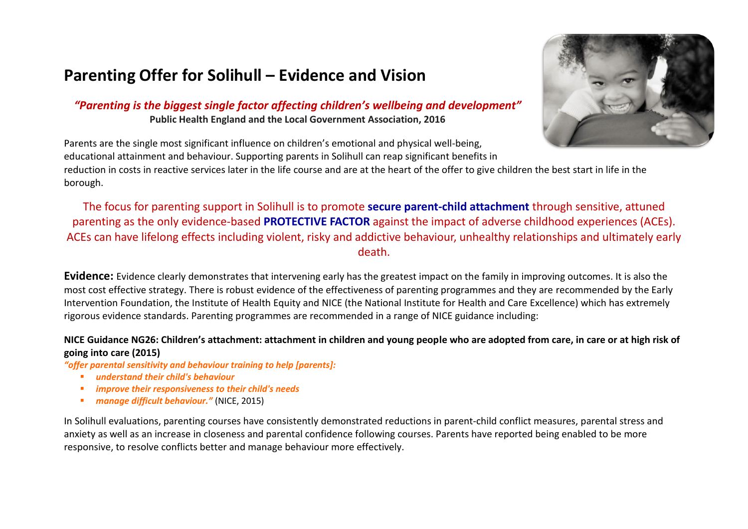# **Parenting Offer for Solihull – Evidence and Vision**

*"Parenting is the biggest single factor affecting children's wellbeing and development"* **Public Health England and the Local Government Association, 2016**



Parents are the single most significant influence on children's emotional and physical well-being, educational attainment and behaviour. Supporting parents in Solihull can reap significant benefits in reduction in costs in reactive services later in the life course and are at the heart of the offer to give children the best start in life in the

borough.

The focus for parenting support in Solihull is to promote **secure parent-child attachment** through sensitive, attuned parenting as the only evidence-based **PROTECTIVE FACTOR** against the impact of adverse childhood experiences (ACEs). ACEs can have lifelong effects including violent, risky and addictive behaviour, unhealthy relationships and ultimately early death.

**Evidence:** Evidence clearly demonstrates that intervening early has the greatest impact on the family in improving outcomes. It is also the most cost effective strategy. There is robust evidence of the effectiveness of parenting programmes and they are recommended by the Early Intervention Foundation, the Institute of Health Equity and NICE (the National Institute for Health and Care Excellence) which has extremely rigorous evidence standards. Parenting programmes are recommended in a range of NICE guidance including:

#### **NICE Guidance NG26: Children's attachment: attachment in children and young people who are adopted from care, in care or at high risk of going into care (2015)**

*"offer parental sensitivity and behaviour training to help [parents]:*

- *understand their child's behaviour*
- *improve their responsiveness to their child's needs*
- *manage difficult behaviour."* (NICE, 2015)

In Solihull evaluations, parenting courses have consistently demonstrated reductions in parent-child conflict measures, parental stress and anxiety as well as an increase in closeness and parental confidence following courses. Parents have reported being enabled to be more responsive, to resolve conflicts better and manage behaviour more effectively.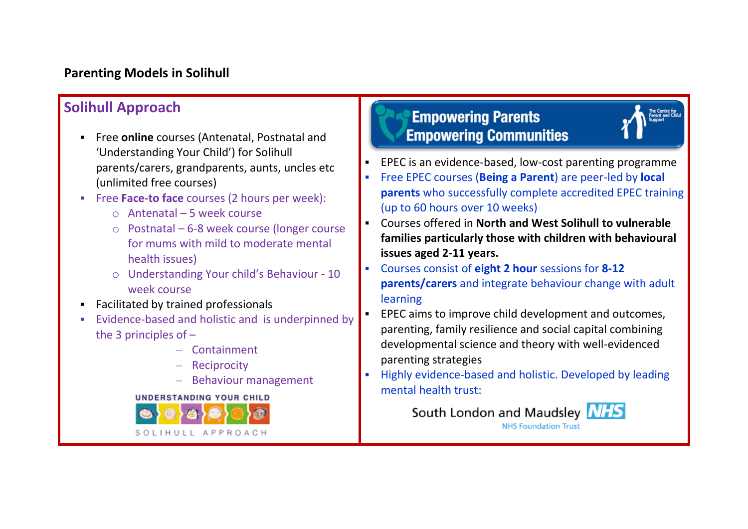### **Parenting Models in Solihull**

### **Solihull Approach**

- Free **online** courses (Antenatal, Postnatal and 'Understanding Your Child') for Solihull parents/carers, grandparents, aunts, uncles etc (unlimited free courses)
- Free **Face-to face** courses (2 hours per week):
	- $\circ$  Antenatal 5 week course
	- o Postnatal 6-8 week course (longer course for mums with mild to moderate mental health issues)
	- o Understanding Your child's Behaviour 10 week course
- Facilitated by trained professionals
- Evidence-based and holistic and is underpinned by the 3 principles of –
	- Containment
	- Reciprocity
	- Behaviour management

**UNDERSTANDING YOUR CHILD** 



# **Empowering Parents Empowering Communities**

- EPEC is an evidence-based, low-cost parenting programme
- Free EPEC courses (**Being a Parent**) are peer-led by **local parents** who successfully complete accredited EPEC training (up to 60 hours over 10 weeks)
- Courses offered in **North and West Solihull to vulnerable families particularly those with children with behavioural issues aged 2-11 years.**
- Courses consist of **eight 2 hour** sessions for **8-12 parents/carers** and integrate behaviour change with adult learning
- EPEC aims to improve child development and outcomes, parenting, family resilience and social capital combining developmental science and theory with well-evidenced parenting strategies
- Highly evidence-based and holistic. Developed by leading mental health trust:

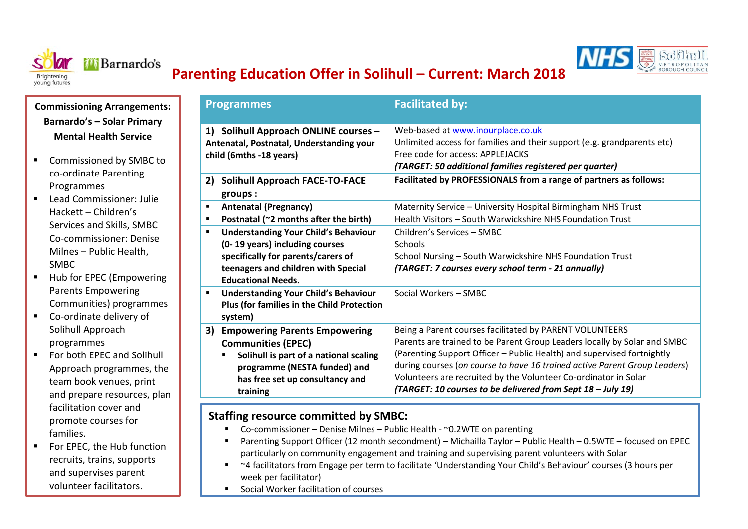



## **Parenting Education Offer in Solihull – Current: March 2018**

**Commissioning Arrangements: Barnardo's – Solar Primary Mental Health Service**

- Commissioned by SMBC to co-ordinate Parenting Programmes
- $\blacksquare$  Lead Commissioner: Julie Hackett – Children's Services and Skills, SMBC Co-commissioner: Denise Milnes – Public Health, SMBC
- Hub for EPEC (Empowering Parents Empowering Communities) programmes
- Co-ordinate delivery of Solihull Approach programmes
- For both EPEC and Solihull Approach programmes, the team book venues, print and prepare resources, plan facilitation cover and promote courses for families.
- For EPEC, the Hub function recruits, trains, supports and supervises parent volunteer facilitators.

| <b>Programmes</b>                                                                                            | <b>Facilitated by:</b>                                                                                                                                                                                      |
|--------------------------------------------------------------------------------------------------------------|-------------------------------------------------------------------------------------------------------------------------------------------------------------------------------------------------------------|
| 1) Solihull Approach ONLINE courses -<br>Antenatal, Postnatal, Understanding your<br>child (6mths -18 years) | Web-based at www.inourplace.co.uk<br>Unlimited access for families and their support (e.g. grandparents etc)<br>Free code for access: APPLEJACKS<br>(TARGET: 50 additional families registered per quarter) |
| <b>Solihull Approach FACE-TO-FACE</b><br>2)                                                                  | Facilitated by PROFESSIONALS from a range of partners as follows:                                                                                                                                           |
| groups:                                                                                                      |                                                                                                                                                                                                             |
| <b>Antenatal (Pregnancy)</b><br>$\blacksquare$                                                               | Maternity Service - University Hospital Birmingham NHS Trust                                                                                                                                                |
| Postnatal (~2 months after the birth)<br>$\blacksquare$                                                      | Health Visitors - South Warwickshire NHS Foundation Trust                                                                                                                                                   |
| <b>Understanding Your Child's Behaviour</b><br>$\blacksquare$                                                | Children's Services - SMBC                                                                                                                                                                                  |
| (0-19 years) including courses                                                                               | Schools                                                                                                                                                                                                     |
| specifically for parents/carers of                                                                           | School Nursing - South Warwickshire NHS Foundation Trust                                                                                                                                                    |
| teenagers and children with Special                                                                          | (TARGET: 7 courses every school term - 21 annually)                                                                                                                                                         |
| <b>Educational Needs.</b>                                                                                    |                                                                                                                                                                                                             |
| <b>Understanding Your Child's Behaviour</b><br>п                                                             | Social Workers - SMBC                                                                                                                                                                                       |
| <b>Plus (for families in the Child Protection</b><br>system)                                                 |                                                                                                                                                                                                             |
| <b>Empowering Parents Empowering</b><br>3)                                                                   | Being a Parent courses facilitated by PARENT VOLUNTEERS                                                                                                                                                     |
| <b>Communities (EPEC)</b>                                                                                    | Parents are trained to be Parent Group Leaders locally by Solar and SMBC                                                                                                                                    |
| Solihull is part of a national scaling                                                                       | (Parenting Support Officer - Public Health) and supervised fortnightly                                                                                                                                      |
| programme (NESTA funded) and                                                                                 | during courses (on course to have 16 trained active Parent Group Leaders)                                                                                                                                   |
| has free set up consultancy and                                                                              | Volunteers are recruited by the Volunteer Co-ordinator in Solar                                                                                                                                             |
| training                                                                                                     | (TARGET: 10 courses to be delivered from Sept 18 - July 19)                                                                                                                                                 |

#### **Staffing resource committed by SMBC:**

- Co-commissioner Denise Milnes Public Health  $\sim$  0.2WTE on parenting
- Parenting Support Officer (12 month secondment) Michailla Taylor Public Health 0.5WTE focused on EPEC particularly on community engagement and training and supervising parent volunteers with Solar
- ~4 facilitators from Engage per term to facilitate 'Understanding Your Child's Behaviour' courses (3 hours per week per facilitator)
- Social Worker facilitation of courses